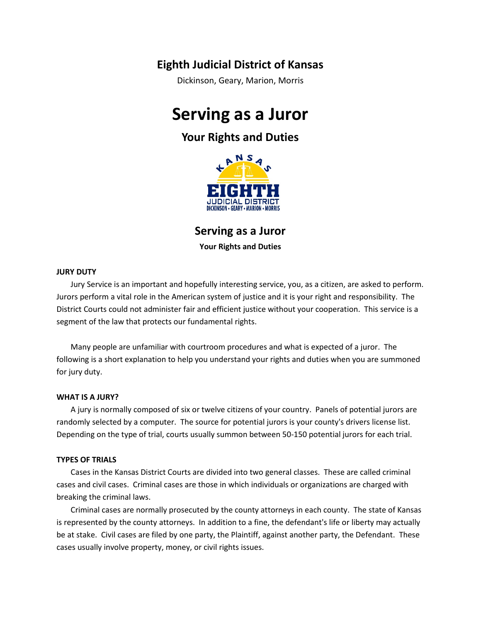# **Eighth Judicial District of Kansas**

Dickinson, Geary, Marion, Morris

# **Serving as a Juror**

# **Your Rights and Duties**



**Serving as a Juror**

**Your Rights and Duties**

# **JURY DUTY**

Jury Service is an important and hopefully interesting service, you, as a citizen, are asked to perform. Jurors perform a vital role in the American system of justice and it is your right and responsibility. The District Courts could not administer fair and efficient justice without your cooperation. This service is a segment of the law that protects our fundamental rights.

Many people are unfamiliar with courtroom procedures and what is expected of a juror. The following is a short explanation to help you understand your rights and duties when you are summoned for jury duty.

# **WHAT IS A JURY?**

A jury is normally composed of six or twelve citizens of your country. Panels of potential jurors are randomly selected by a computer. The source for potential jurors is your county's drivers license list. Depending on the type of trial, courts usually summon between 50-150 potential jurors for each trial.

# **TYPES OF TRIALS**

Cases in the Kansas District Courts are divided into two general classes. These are called criminal cases and civil cases. Criminal cases are those in which individuals or organizations are charged with breaking the criminal laws.

Criminal cases are normally prosecuted by the county attorneys in each county. The state of Kansas is represented by the county attorneys. In addition to a fine, the defendant's life or liberty may actually be at stake. Civil cases are filed by one party, the Plaintiff, against another party, the Defendant. These cases usually involve property, money, or civil rights issues.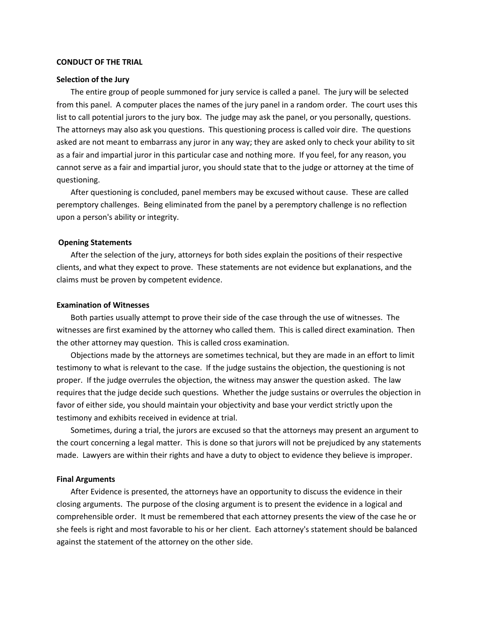#### **CONDUCT OF THE TRIAL**

#### **Selection of the Jury**

The entire group of people summoned for jury service is called a panel. The jury will be selected from this panel. A computer places the names of the jury panel in a random order. The court uses this list to call potential jurors to the jury box. The judge may ask the panel, or you personally, questions. The attorneys may also ask you questions. This questioning process is called voir dire. The questions asked are not meant to embarrass any juror in any way; they are asked only to check your ability to sit as a fair and impartial juror in this particular case and nothing more. If you feel, for any reason, you cannot serve as a fair and impartial juror, you should state that to the judge or attorney at the time of questioning.

After questioning is concluded, panel members may be excused without cause. These are called peremptory challenges. Being eliminated from the panel by a peremptory challenge is no reflection upon a person's ability or integrity.

#### **Opening Statements**

After the selection of the jury, attorneys for both sides explain the positions of their respective clients, and what they expect to prove. These statements are not evidence but explanations, and the claims must be proven by competent evidence.

#### **Examination of Witnesses**

Both parties usually attempt to prove their side of the case through the use of witnesses. The witnesses are first examined by the attorney who called them. This is called direct examination. Then the other attorney may question. This is called cross examination.

Objections made by the attorneys are sometimes technical, but they are made in an effort to limit testimony to what is relevant to the case. If the judge sustains the objection, the questioning is not proper. If the judge overrules the objection, the witness may answer the question asked. The law requires that the judge decide such questions. Whether the judge sustains or overrules the objection in favor of either side, you should maintain your objectivity and base your verdict strictly upon the testimony and exhibits received in evidence at trial.

Sometimes, during a trial, the jurors are excused so that the attorneys may present an argument to the court concerning a legal matter. This is done so that jurors will not be prejudiced by any statements made. Lawyers are within their rights and have a duty to object to evidence they believe is improper.

### **Final Arguments**

After Evidence is presented, the attorneys have an opportunity to discuss the evidence in their closing arguments. The purpose of the closing argument is to present the evidence in a logical and comprehensible order. It must be remembered that each attorney presents the view of the case he or she feels is right and most favorable to his or her client. Each attorney's statement should be balanced against the statement of the attorney on the other side.